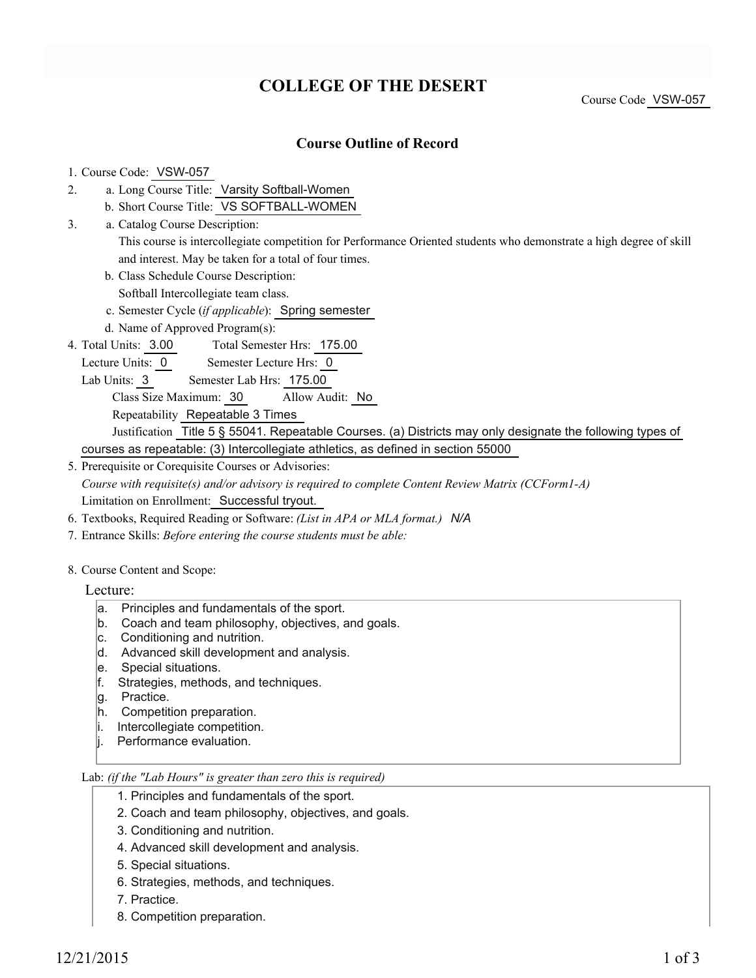# **COLLEGE OF THE DESERT**

Course Code VSW-057

## **Course Outline of Record**

### 1. Course Code: VSW-057

- a. Long Course Title: Varsity Softball-Women 2.
	- b. Short Course Title: VS SOFTBALL-WOMEN
- Catalog Course Description: a. 3.
	- This course is intercollegiate competition for Performance Oriented students who demonstrate a high degree of skill and interest. May be taken for a total of four times.
	- b. Class Schedule Course Description:
	- Softball Intercollegiate team class.
	- c. Semester Cycle (*if applicable*): Spring semester
	- d. Name of Approved Program(s):
- Total Semester Hrs: 175.00 4. Total Units: 3.00
- Lecture Units: 0 Semester Lecture Hrs: 0
	- Lab Units: 3 Semester Lab Hrs: 175.00
		- Class Size Maximum: 30 Allow Audit: No
		- Repeatability Repeatable 3 Times
	- Justification Title 5 § 55041. Repeatable Courses. (a) Districts may only designate the following types of courses as repeatable: (3) Intercollegiate athletics, as defined in section 55000
- 5. Prerequisite or Corequisite Courses or Advisories: *Course with requisite(s) and/or advisory is required to complete Content Review Matrix (CCForm1-A)* Limitation on Enrollment: Successful tryout.
- 6. Textbooks, Required Reading or Software: *(List in APA or MLA format.) N/A*
- 7. Entrance Skills: *Before entering the course students must be able:*
- 8. Course Content and Scope:
	- Lecture:
		- a. Principles and fundamentals of the sport.
		- b. Coach and team philosophy, objectives, and goals.
		- c. Conditioning and nutrition.
		- d. Advanced skill development and analysis.
		- e. Special situations.
		- f. Strategies, methods, and techniques.
		- g. Practice.
		- h. Competition preparation.
		- i. Intercollegiate competition.
		- |i. Performance evaluation.

#### Lab: *(if the "Lab Hours" is greater than zero this is required)*

- 1. Principles and fundamentals of the sport.
- 2. Coach and team philosophy, objectives, and goals.
- 3. Conditioning and nutrition.
- 4. Advanced skill development and analysis.
- 5. Special situations.
- 6. Strategies, methods, and techniques.
- 7. Practice.
- 8. Competition preparation.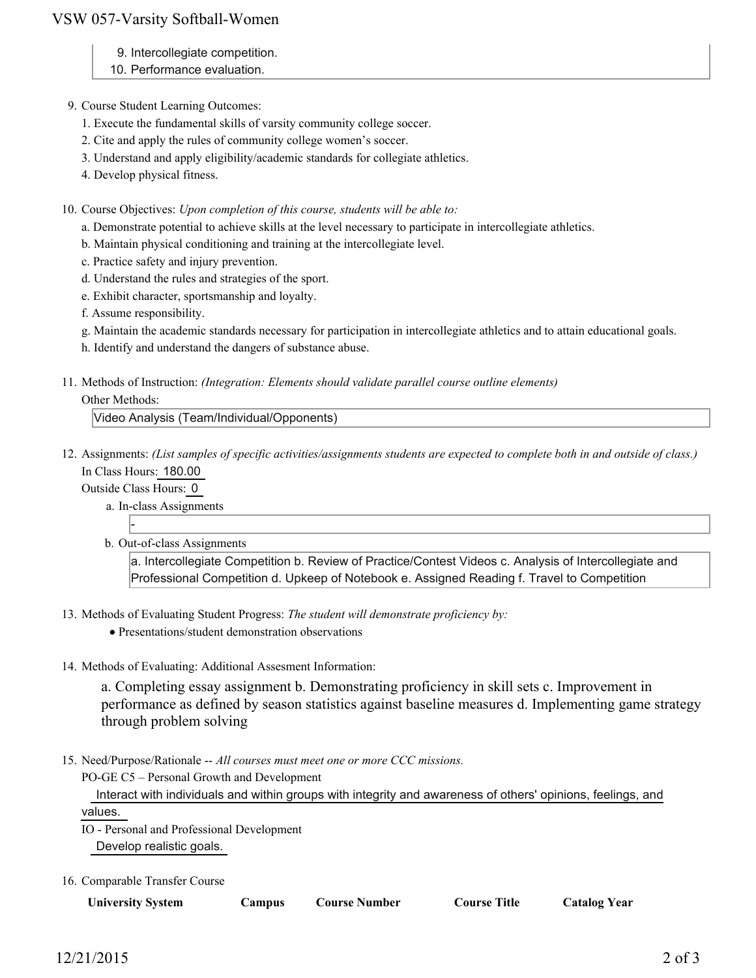# VSW 057-Varsity Softball-Women

- 9. Intercollegiate competition.
- 10. Performance evaluation.
- 9. Course Student Learning Outcomes:
	- 1. Execute the fundamental skills of varsity community college soccer.
	- 2. Cite and apply the rules of community college women's soccer.
	- 3. Understand and apply eligibility/academic standards for collegiate athletics.
	- 4. Develop physical fitness.
- 10. Course Objectives: Upon completion of this course, students will be able to:
	- a. Demonstrate potential to achieve skills at the level necessary to participate in intercollegiate athletics.
	- b. Maintain physical conditioning and training at the intercollegiate level.
	- c. Practice safety and injury prevention.
	- d. Understand the rules and strategies of the sport.
	- e. Exhibit character, sportsmanship and loyalty.
	- f. Assume responsibility.
	- g. Maintain the academic standards necessary for participation in intercollegiate athletics and to attain educational goals.
	- h. Identify and understand the dangers of substance abuse.
- 11. Methods of Instruction: *(Integration: Elements should validate parallel course outline elements)*

Other Methods:

Video Analysis (Team/Individual/Opponents)

12. Assignments: (List samples of specific activities/assignments students are expected to complete both in and outside of class.) In Class Hours: 180.00

Outside Class Hours: 0

-

- a. In-class Assignments
- b. Out-of-class Assignments

a. Intercollegiate Competition b. Review of Practice/Contest Videos c. Analysis of Intercollegiate and Professional Competition d. Upkeep of Notebook e. Assigned Reading f. Travel to Competition

- 13. Methods of Evaluating Student Progress: The student will demonstrate proficiency by:
	- Presentations/student demonstration observations
- 14. Methods of Evaluating: Additional Assesment Information:

a. Completing essay assignment b. Demonstrating proficiency in skill sets c. Improvement in performance as defined by season statistics against baseline measures d. Implementing game strategy through problem solving

15. Need/Purpose/Rationale -- All courses must meet one or more CCC missions.

PO-GE C5 – Personal Growth and Development

 Interact with individuals and within groups with integrity and awareness of others' opinions, feelings, and values.

IO - Personal and Professional Development

Develop realistic goals.

16. Comparable Transfer Course

**Campus Course Number Course Title Catalog Year**